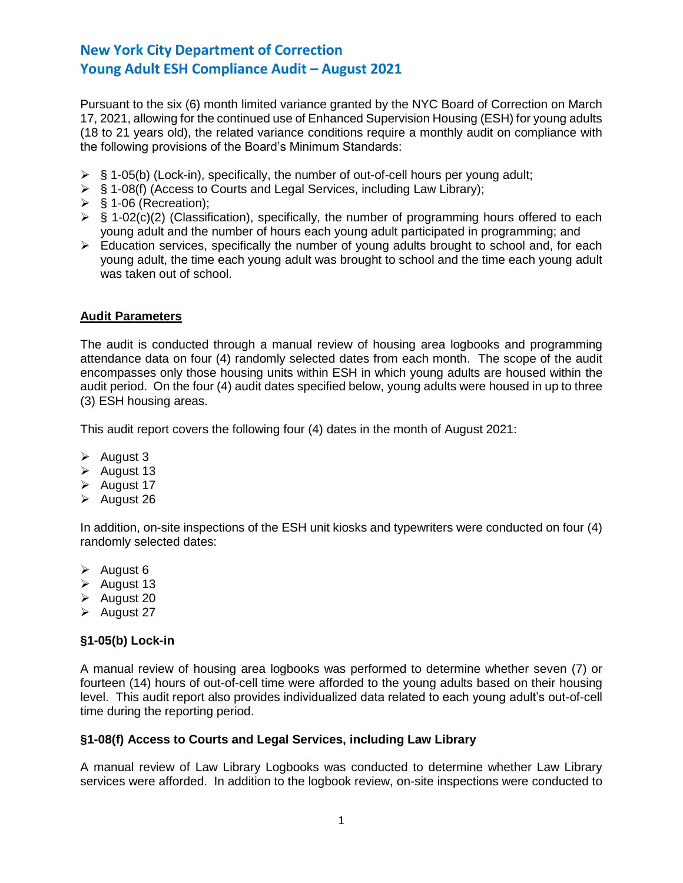Pursuant to the six (6) month limited variance granted by the NYC Board of Correction on March 17, 2021, allowing for the continued use of Enhanced Supervision Housing (ESH) for young adults (18 to 21 years old), the related variance conditions require a monthly audit on compliance with the following provisions of the Board's Minimum Standards:

- $\triangleright$  § 1-05(b) (Lock-in), specifically, the number of out-of-cell hours per young adult;
- ➢ § 1-08(f) (Access to Courts and Legal Services, including Law Library);
- $\triangleright$  § 1-06 (Recreation);
- $\triangleright$  § 1-02(c)(2) (Classification), specifically, the number of programming hours offered to each young adult and the number of hours each young adult participated in programming; and
- ➢ Education services, specifically the number of young adults brought to school and, for each young adult, the time each young adult was brought to school and the time each young adult was taken out of school.

### **Audit Parameters**

The audit is conducted through a manual review of housing area logbooks and programming attendance data on four (4) randomly selected dates from each month. The scope of the audit encompasses only those housing units within ESH in which young adults are housed within the audit period. On the four (4) audit dates specified below, young adults were housed in up to three (3) ESH housing areas.

This audit report covers the following four (4) dates in the month of August 2021:

- $\triangleright$  August 3
- ➢ August 13
- ➢ August 17
- ➢ August 26

In addition, on-site inspections of the ESH unit kiosks and typewriters were conducted on four (4) randomly selected dates:

- ➢ August 6
- $\triangleright$  August 13
- ➢ August 20
- ➢ August 27

#### **§1-05(b) Lock-in**

A manual review of housing area logbooks was performed to determine whether seven (7) or fourteen (14) hours of out-of-cell time were afforded to the young adults based on their housing level. This audit report also provides individualized data related to each young adult's out-of-cell time during the reporting period.

#### **§1-08(f) Access to Courts and Legal Services, including Law Library**

A manual review of Law Library Logbooks was conducted to determine whether Law Library services were afforded. In addition to the logbook review, on-site inspections were conducted to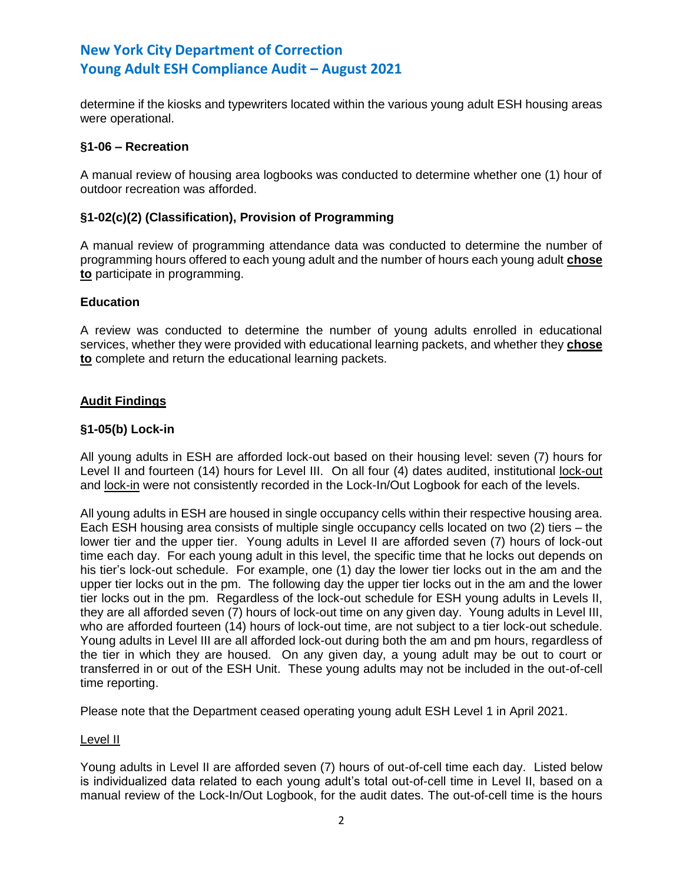determine if the kiosks and typewriters located within the various young adult ESH housing areas were operational.

## **§1-06 – Recreation**

A manual review of housing area logbooks was conducted to determine whether one (1) hour of outdoor recreation was afforded.

### **§1-02(c)(2) (Classification), Provision of Programming**

A manual review of programming attendance data was conducted to determine the number of programming hours offered to each young adult and the number of hours each young adult **chose to** participate in programming.

## **Education**

A review was conducted to determine the number of young adults enrolled in educational services, whether they were provided with educational learning packets, and whether they **chose to** complete and return the educational learning packets.

## **Audit Findings**

### **§1-05(b) Lock-in**

All young adults in ESH are afforded lock-out based on their housing level: seven (7) hours for Level II and fourteen (14) hours for Level III. On all four (4) dates audited, institutional lock-out and lock-in were not consistently recorded in the Lock-In/Out Logbook for each of the levels.

All young adults in ESH are housed in single occupancy cells within their respective housing area. Each ESH housing area consists of multiple single occupancy cells located on two (2) tiers – the lower tier and the upper tier. Young adults in Level II are afforded seven (7) hours of lock-out time each day. For each young adult in this level, the specific time that he locks out depends on his tier's lock-out schedule. For example, one (1) day the lower tier locks out in the am and the upper tier locks out in the pm. The following day the upper tier locks out in the am and the lower tier locks out in the pm. Regardless of the lock-out schedule for ESH young adults in Levels II, they are all afforded seven (7) hours of lock-out time on any given day. Young adults in Level III, who are afforded fourteen (14) hours of lock-out time, are not subject to a tier lock-out schedule. Young adults in Level III are all afforded lock-out during both the am and pm hours, regardless of the tier in which they are housed. On any given day, a young adult may be out to court or transferred in or out of the ESH Unit. These young adults may not be included in the out-of-cell time reporting.

Please note that the Department ceased operating young adult ESH Level 1 in April 2021.

#### Level II

Young adults in Level II are afforded seven (7) hours of out-of-cell time each day. Listed below is individualized data related to each young adult's total out-of-cell time in Level II, based on a manual review of the Lock-In/Out Logbook, for the audit dates. The out-of-cell time is the hours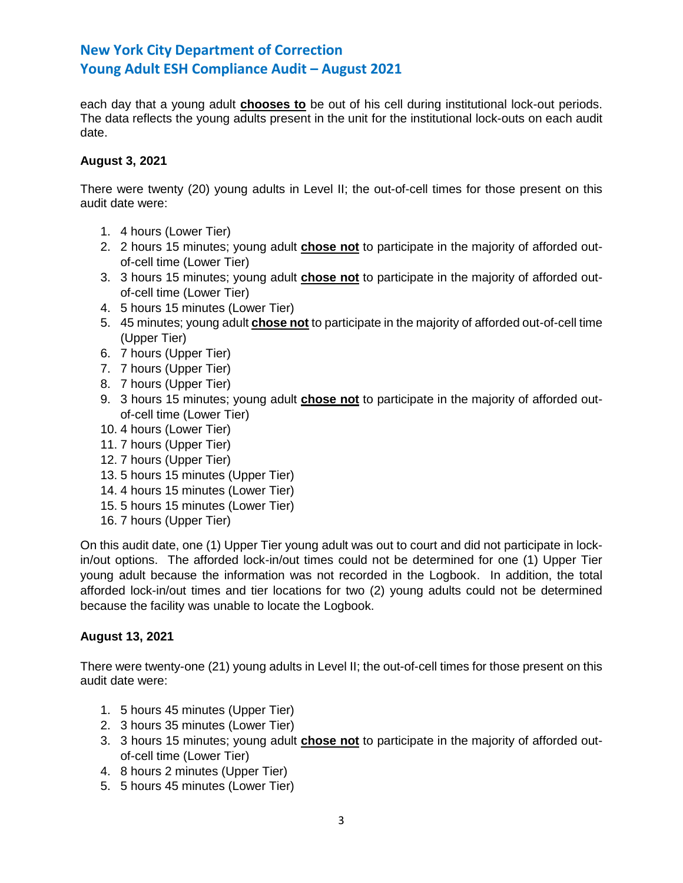each day that a young adult **chooses to** be out of his cell during institutional lock-out periods. The data reflects the young adults present in the unit for the institutional lock-outs on each audit date.

# **August 3, 2021**

There were twenty (20) young adults in Level II; the out-of-cell times for those present on this audit date were:

- 1. 4 hours (Lower Tier)
- 2. 2 hours 15 minutes; young adult **chose not** to participate in the majority of afforded outof-cell time (Lower Tier)
- 3. 3 hours 15 minutes; young adult **chose not** to participate in the majority of afforded outof-cell time (Lower Tier)
- 4. 5 hours 15 minutes (Lower Tier)
- 5. 45 minutes; young adult **chose not** to participate in the majority of afforded out-of-cell time (Upper Tier)
- 6. 7 hours (Upper Tier)
- 7. 7 hours (Upper Tier)
- 8. 7 hours (Upper Tier)
- 9. 3 hours 15 minutes; young adult **chose not** to participate in the majority of afforded outof-cell time (Lower Tier)
- 10. 4 hours (Lower Tier)
- 11. 7 hours (Upper Tier)
- 12. 7 hours (Upper Tier)
- 13. 5 hours 15 minutes (Upper Tier)
- 14. 4 hours 15 minutes (Lower Tier)
- 15. 5 hours 15 minutes (Lower Tier)
- 16. 7 hours (Upper Tier)

On this audit date, one (1) Upper Tier young adult was out to court and did not participate in lockin/out options. The afforded lock-in/out times could not be determined for one (1) Upper Tier young adult because the information was not recorded in the Logbook. In addition, the total afforded lock-in/out times and tier locations for two (2) young adults could not be determined because the facility was unable to locate the Logbook.

## **August 13, 2021**

There were twenty-one (21) young adults in Level II; the out-of-cell times for those present on this audit date were:

- 1. 5 hours 45 minutes (Upper Tier)
- 2. 3 hours 35 minutes (Lower Tier)
- 3. 3 hours 15 minutes; young adult **chose not** to participate in the majority of afforded outof-cell time (Lower Tier)
- 4. 8 hours 2 minutes (Upper Tier)
- 5. 5 hours 45 minutes (Lower Tier)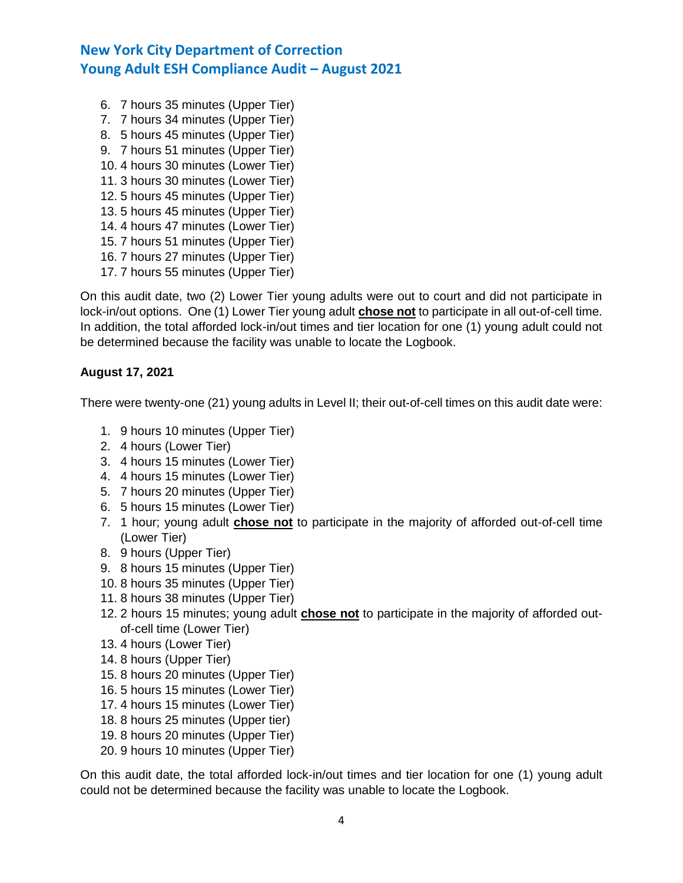- 6. 7 hours 35 minutes (Upper Tier) 7. 7 hours 34 minutes (Upper Tier) 8. 5 hours 45 minutes (Upper Tier)
- 9. 7 hours 51 minutes (Upper Tier)
- 10. 4 hours 30 minutes (Lower Tier)
- 11. 3 hours 30 minutes (Lower Tier)
- 12. 5 hours 45 minutes (Upper Tier)
- 13. 5 hours 45 minutes (Upper Tier)
- 14. 4 hours 47 minutes (Lower Tier)
- 15. 7 hours 51 minutes (Upper Tier)
- 16. 7 hours 27 minutes (Upper Tier)
- 17. 7 hours 55 minutes (Upper Tier)

On this audit date, two (2) Lower Tier young adults were out to court and did not participate in lock-in/out options. One (1) Lower Tier young adult **chose not** to participate in all out-of-cell time. In addition, the total afforded lock-in/out times and tier location for one (1) young adult could not be determined because the facility was unable to locate the Logbook.

# **August 17, 2021**

There were twenty-one (21) young adults in Level II; their out-of-cell times on this audit date were:

- 1. 9 hours 10 minutes (Upper Tier)
- 2. 4 hours (Lower Tier)
- 3. 4 hours 15 minutes (Lower Tier)
- 4. 4 hours 15 minutes (Lower Tier)
- 5. 7 hours 20 minutes (Upper Tier)
- 6. 5 hours 15 minutes (Lower Tier)
- 7. 1 hour; young adult **chose not** to participate in the majority of afforded out-of-cell time (Lower Tier)
- 8. 9 hours (Upper Tier)
- 9. 8 hours 15 minutes (Upper Tier)
- 10. 8 hours 35 minutes (Upper Tier)
- 11. 8 hours 38 minutes (Upper Tier)
- 12. 2 hours 15 minutes; young adult **chose not** to participate in the majority of afforded outof-cell time (Lower Tier)
- 13. 4 hours (Lower Tier)
- 14. 8 hours (Upper Tier)
- 15. 8 hours 20 minutes (Upper Tier)
- 16. 5 hours 15 minutes (Lower Tier)
- 17. 4 hours 15 minutes (Lower Tier)
- 18. 8 hours 25 minutes (Upper tier)
- 19. 8 hours 20 minutes (Upper Tier)
- 20. 9 hours 10 minutes (Upper Tier)

On this audit date, the total afforded lock-in/out times and tier location for one (1) young adult could not be determined because the facility was unable to locate the Logbook.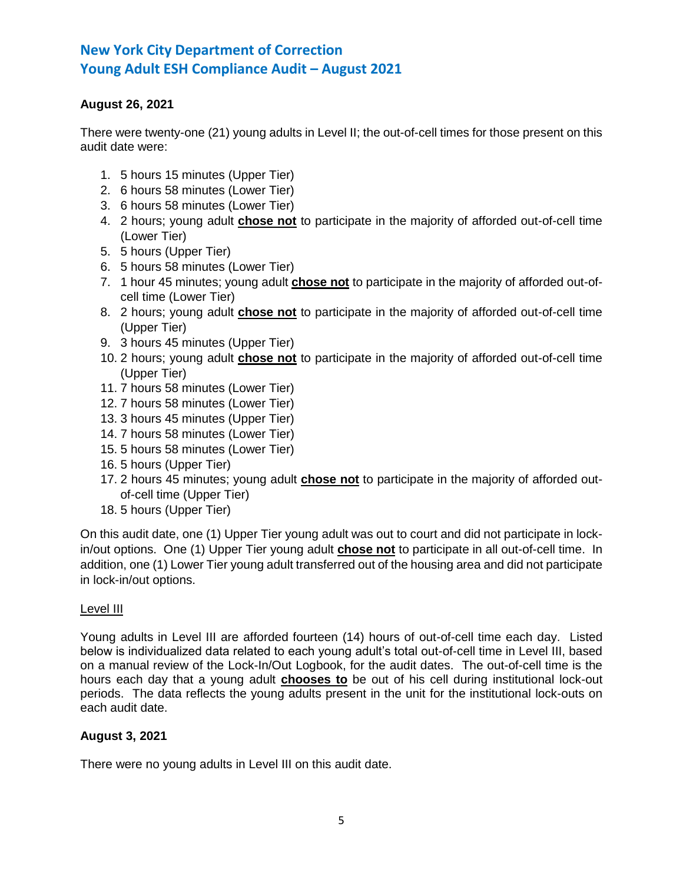# **August 26, 2021**

There were twenty-one (21) young adults in Level II; the out-of-cell times for those present on this audit date were:

- 1. 5 hours 15 minutes (Upper Tier)
- 2. 6 hours 58 minutes (Lower Tier)
- 3. 6 hours 58 minutes (Lower Tier)
- 4. 2 hours; young adult **chose not** to participate in the majority of afforded out-of-cell time (Lower Tier)
- 5. 5 hours (Upper Tier)
- 6. 5 hours 58 minutes (Lower Tier)
- 7. 1 hour 45 minutes; young adult **chose not** to participate in the majority of afforded out-ofcell time (Lower Tier)
- 8. 2 hours; young adult **chose not** to participate in the majority of afforded out-of-cell time (Upper Tier)
- 9. 3 hours 45 minutes (Upper Tier)
- 10. 2 hours; young adult **chose not** to participate in the majority of afforded out-of-cell time (Upper Tier)
- 11. 7 hours 58 minutes (Lower Tier)
- 12. 7 hours 58 minutes (Lower Tier)
- 13. 3 hours 45 minutes (Upper Tier)
- 14. 7 hours 58 minutes (Lower Tier)
- 15. 5 hours 58 minutes (Lower Tier)
- 16. 5 hours (Upper Tier)
- 17. 2 hours 45 minutes; young adult **chose not** to participate in the majority of afforded outof-cell time (Upper Tier)
- 18. 5 hours (Upper Tier)

On this audit date, one (1) Upper Tier young adult was out to court and did not participate in lockin/out options. One (1) Upper Tier young adult **chose not** to participate in all out-of-cell time. In addition, one (1) Lower Tier young adult transferred out of the housing area and did not participate in lock-in/out options.

## Level III

Young adults in Level III are afforded fourteen (14) hours of out-of-cell time each day. Listed below is individualized data related to each young adult's total out-of-cell time in Level III, based on a manual review of the Lock-In/Out Logbook, for the audit dates. The out-of-cell time is the hours each day that a young adult **chooses to** be out of his cell during institutional lock-out periods. The data reflects the young adults present in the unit for the institutional lock-outs on each audit date.

## **August 3, 2021**

There were no young adults in Level III on this audit date.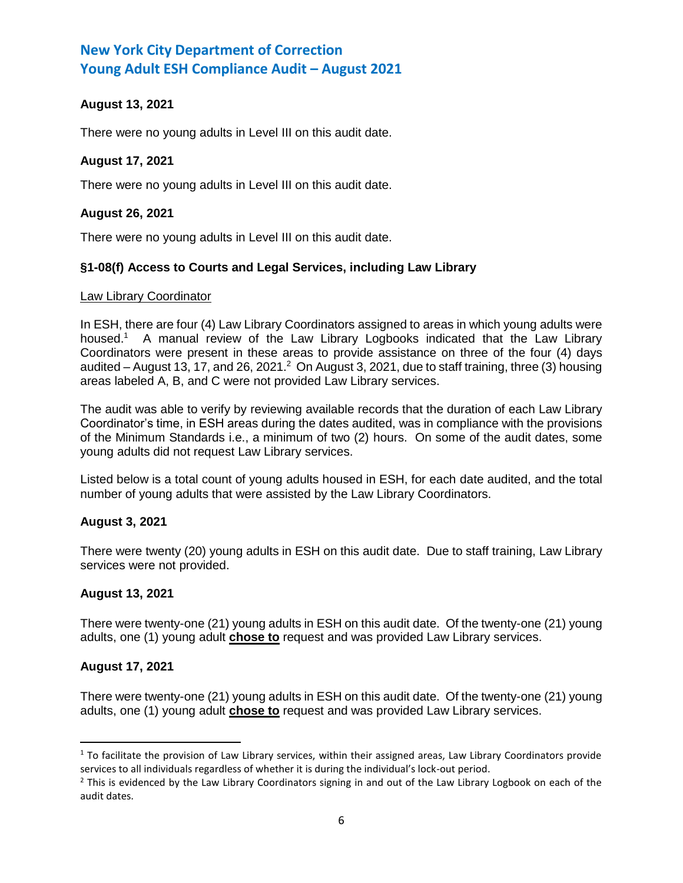# **August 13, 2021**

There were no young adults in Level III on this audit date.

## **August 17, 2021**

There were no young adults in Level III on this audit date.

## **August 26, 2021**

There were no young adults in Level III on this audit date.

## **§1-08(f) Access to Courts and Legal Services, including Law Library**

#### Law Library Coordinator

In ESH, there are four (4) Law Library Coordinators assigned to areas in which young adults were housed.<sup>1</sup> A manual review of the Law Library Logbooks indicated that the Law Library Coordinators were present in these areas to provide assistance on three of the four (4) days audited  $-$  August 13, 17, and 26, 2021. $^2$  On August 3, 2021, due to staff training, three (3) housing areas labeled A, B, and C were not provided Law Library services.

The audit was able to verify by reviewing available records that the duration of each Law Library Coordinator's time, in ESH areas during the dates audited, was in compliance with the provisions of the Minimum Standards i.e., a minimum of two (2) hours. On some of the audit dates, some young adults did not request Law Library services.

Listed below is a total count of young adults housed in ESH, for each date audited, and the total number of young adults that were assisted by the Law Library Coordinators.

#### **August 3, 2021**

There were twenty (20) young adults in ESH on this audit date. Due to staff training, Law Library services were not provided.

#### **August 13, 2021**

There were twenty-one (21) young adults in ESH on this audit date. Of the twenty-one (21) young adults, one (1) young adult **chose to** request and was provided Law Library services.

#### **August 17, 2021**

l

There were twenty-one (21) young adults in ESH on this audit date. Of the twenty-one (21) young adults, one (1) young adult **chose to** request and was provided Law Library services.

 $1$  To facilitate the provision of Law Library services, within their assigned areas, Law Library Coordinators provide services to all individuals regardless of whether it is during the individual's lock-out period.

 $<sup>2</sup>$  This is evidenced by the Law Library Coordinators signing in and out of the Law Library Logbook on each of the</sup> audit dates.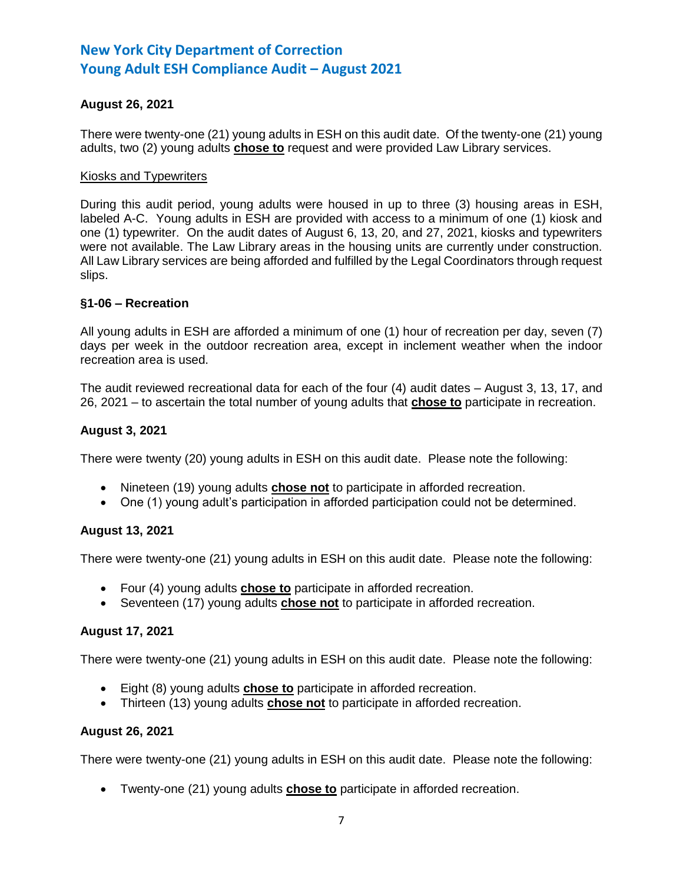# **August 26, 2021**

There were twenty-one (21) young adults in ESH on this audit date. Of the twenty-one (21) young adults, two (2) young adults **chose to** request and were provided Law Library services.

#### Kiosks and Typewriters

During this audit period, young adults were housed in up to three (3) housing areas in ESH, labeled A-C. Young adults in ESH are provided with access to a minimum of one (1) kiosk and one (1) typewriter. On the audit dates of August 6, 13, 20, and 27, 2021, kiosks and typewriters were not available. The Law Library areas in the housing units are currently under construction. All Law Library services are being afforded and fulfilled by the Legal Coordinators through request slips.

### **§1-06 – Recreation**

All young adults in ESH are afforded a minimum of one (1) hour of recreation per day, seven (7) days per week in the outdoor recreation area, except in inclement weather when the indoor recreation area is used.

The audit reviewed recreational data for each of the four (4) audit dates – August 3, 13, 17, and 26, 2021 – to ascertain the total number of young adults that **chose to** participate in recreation.

### **August 3, 2021**

There were twenty (20) young adults in ESH on this audit date. Please note the following:

- Nineteen (19) young adults **chose not** to participate in afforded recreation.
- One (1) young adult's participation in afforded participation could not be determined.

## **August 13, 2021**

There were twenty-one (21) young adults in ESH on this audit date. Please note the following:

- Four (4) young adults **chose to** participate in afforded recreation.
- Seventeen (17) young adults **chose not** to participate in afforded recreation.

#### **August 17, 2021**

There were twenty-one (21) young adults in ESH on this audit date. Please note the following:

- Eight (8) young adults **chose to** participate in afforded recreation.
- Thirteen (13) young adults **chose not** to participate in afforded recreation.

#### **August 26, 2021**

There were twenty-one (21) young adults in ESH on this audit date. Please note the following:

• Twenty-one (21) young adults **chose to** participate in afforded recreation.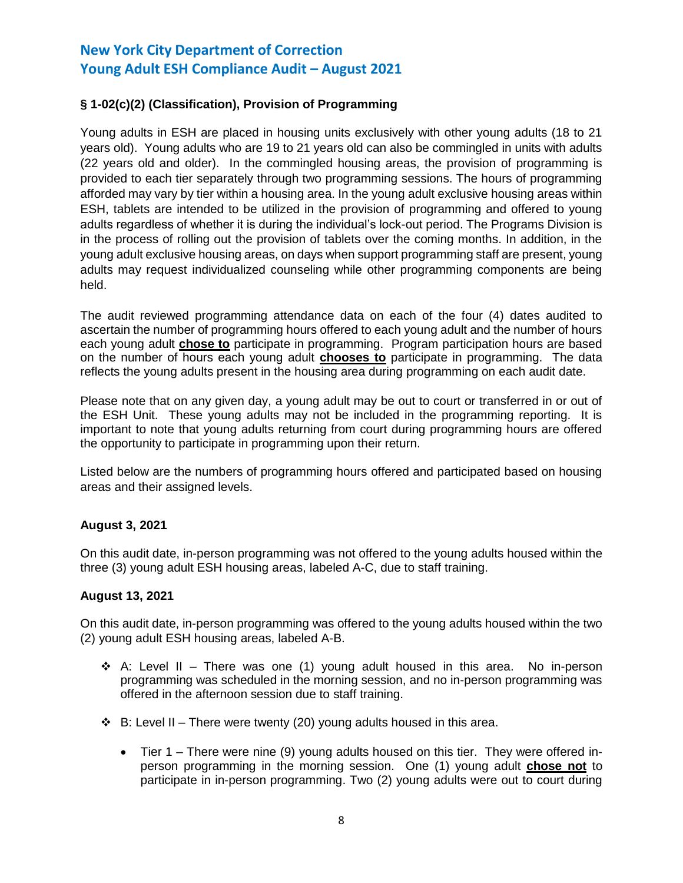# **§ 1-02(c)(2) (Classification), Provision of Programming**

Young adults in ESH are placed in housing units exclusively with other young adults (18 to 21 years old). Young adults who are 19 to 21 years old can also be commingled in units with adults (22 years old and older). In the commingled housing areas, the provision of programming is provided to each tier separately through two programming sessions. The hours of programming afforded may vary by tier within a housing area. In the young adult exclusive housing areas within ESH, tablets are intended to be utilized in the provision of programming and offered to young adults regardless of whether it is during the individual's lock-out period. The Programs Division is in the process of rolling out the provision of tablets over the coming months. In addition, in the young adult exclusive housing areas, on days when support programming staff are present, young adults may request individualized counseling while other programming components are being held.

The audit reviewed programming attendance data on each of the four (4) dates audited to ascertain the number of programming hours offered to each young adult and the number of hours each young adult **chose to** participate in programming. Program participation hours are based on the number of hours each young adult **chooses to** participate in programming. The data reflects the young adults present in the housing area during programming on each audit date.

Please note that on any given day, a young adult may be out to court or transferred in or out of the ESH Unit. These young adults may not be included in the programming reporting. It is important to note that young adults returning from court during programming hours are offered the opportunity to participate in programming upon their return.

Listed below are the numbers of programming hours offered and participated based on housing areas and their assigned levels.

## **August 3, 2021**

On this audit date, in-person programming was not offered to the young adults housed within the three (3) young adult ESH housing areas, labeled A-C, due to staff training.

## **August 13, 2021**

On this audit date, in-person programming was offered to the young adults housed within the two (2) young adult ESH housing areas, labeled A-B.

- ❖ A: Level II There was one (1) young adult housed in this area. No in-person programming was scheduled in the morning session, and no in-person programming was offered in the afternoon session due to staff training.
- $\div$  B: Level II There were twenty (20) young adults housed in this area.
	- Tier 1 There were nine (9) young adults housed on this tier. They were offered inperson programming in the morning session. One (1) young adult **chose not** to participate in in-person programming. Two (2) young adults were out to court during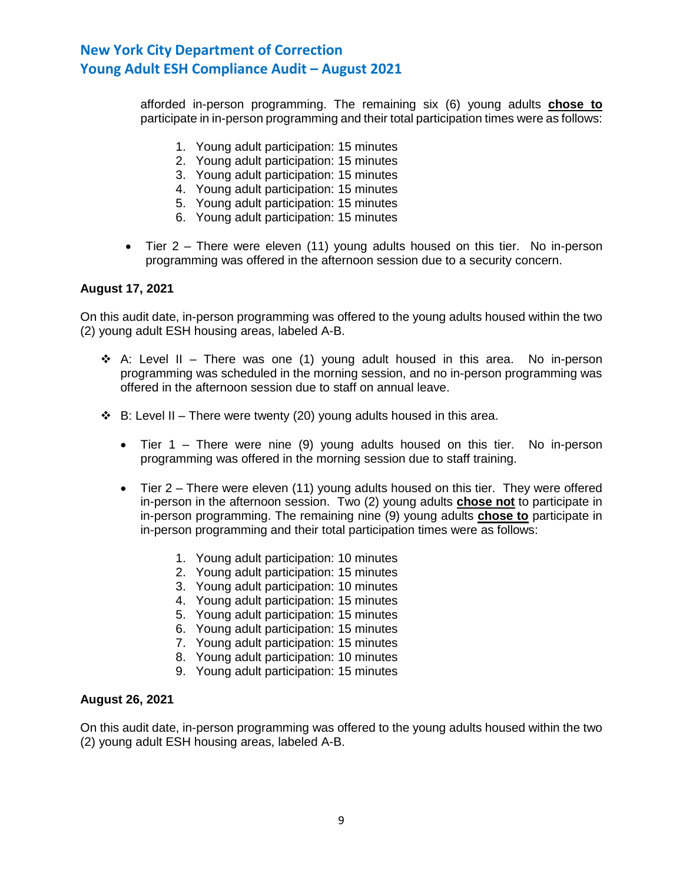afforded in-person programming. The remaining six (6) young adults **chose to** participate in in-person programming and their total participation times were as follows:

- 1. Young adult participation: 15 minutes
- 2. Young adult participation: 15 minutes
- 3. Young adult participation: 15 minutes
- 4. Young adult participation: 15 minutes
- 5. Young adult participation: 15 minutes
- 6. Young adult participation: 15 minutes
- Tier 2 There were eleven (11) young adults housed on this tier. No in-person programming was offered in the afternoon session due to a security concern.

### **August 17, 2021**

On this audit date, in-person programming was offered to the young adults housed within the two (2) young adult ESH housing areas, labeled A-B.

- ❖ A: Level II There was one (1) young adult housed in this area. No in-person programming was scheduled in the morning session, and no in-person programming was offered in the afternoon session due to staff on annual leave.
- $\div$  B: Level II There were twenty (20) young adults housed in this area.
	- Tier 1 There were nine (9) young adults housed on this tier. No in-person programming was offered in the morning session due to staff training.
	- Tier 2 There were eleven (11) young adults housed on this tier. They were offered in-person in the afternoon session. Two (2) young adults **chose not** to participate in in-person programming. The remaining nine (9) young adults **chose to** participate in in-person programming and their total participation times were as follows:
		- 1. Young adult participation: 10 minutes
		- 2. Young adult participation: 15 minutes
		- 3. Young adult participation: 10 minutes
		- 4. Young adult participation: 15 minutes
		- 5. Young adult participation: 15 minutes
		- 6. Young adult participation: 15 minutes
		- 7. Young adult participation: 15 minutes
		- 8. Young adult participation: 10 minutes
		- 9. Young adult participation: 15 minutes

#### **August 26, 2021**

On this audit date, in-person programming was offered to the young adults housed within the two (2) young adult ESH housing areas, labeled A-B.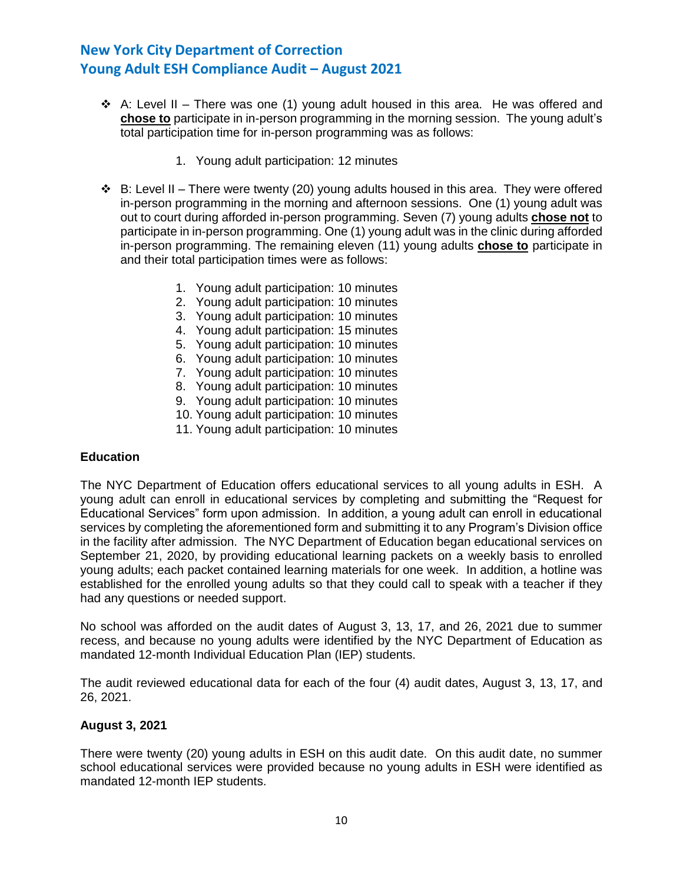- ↑ A: Level II There was one (1) young adult housed in this area. He was offered and **chose to** participate in in-person programming in the morning session. The young adult's total participation time for in-person programming was as follows:
	- 1. Young adult participation: 12 minutes
- $\div$  B: Level II There were twenty (20) young adults housed in this area. They were offered in-person programming in the morning and afternoon sessions. One (1) young adult was out to court during afforded in-person programming. Seven (7) young adults **chose not** to participate in in-person programming. One (1) young adult was in the clinic during afforded in-person programming. The remaining eleven (11) young adults **chose to** participate in and their total participation times were as follows:
	- 1. Young adult participation: 10 minutes
	- 2. Young adult participation: 10 minutes
	- 3. Young adult participation: 10 minutes
	- 4. Young adult participation: 15 minutes
	- 5. Young adult participation: 10 minutes
	- 6. Young adult participation: 10 minutes
	- 7. Young adult participation: 10 minutes
	- 8. Young adult participation: 10 minutes
	- 9. Young adult participation: 10 minutes
	- 10. Young adult participation: 10 minutes
	- 11. Young adult participation: 10 minutes

#### **Education**

The NYC Department of Education offers educational services to all young adults in ESH. A young adult can enroll in educational services by completing and submitting the "Request for Educational Services" form upon admission. In addition, a young adult can enroll in educational services by completing the aforementioned form and submitting it to any Program's Division office in the facility after admission. The NYC Department of Education began educational services on September 21, 2020, by providing educational learning packets on a weekly basis to enrolled young adults; each packet contained learning materials for one week. In addition, a hotline was established for the enrolled young adults so that they could call to speak with a teacher if they had any questions or needed support.

No school was afforded on the audit dates of August 3, 13, 17, and 26, 2021 due to summer recess, and because no young adults were identified by the NYC Department of Education as mandated 12-month Individual Education Plan (IEP) students.

The audit reviewed educational data for each of the four (4) audit dates, August 3, 13, 17, and 26, 2021.

### **August 3, 2021**

There were twenty (20) young adults in ESH on this audit date. On this audit date, no summer school educational services were provided because no young adults in ESH were identified as mandated 12-month IEP students.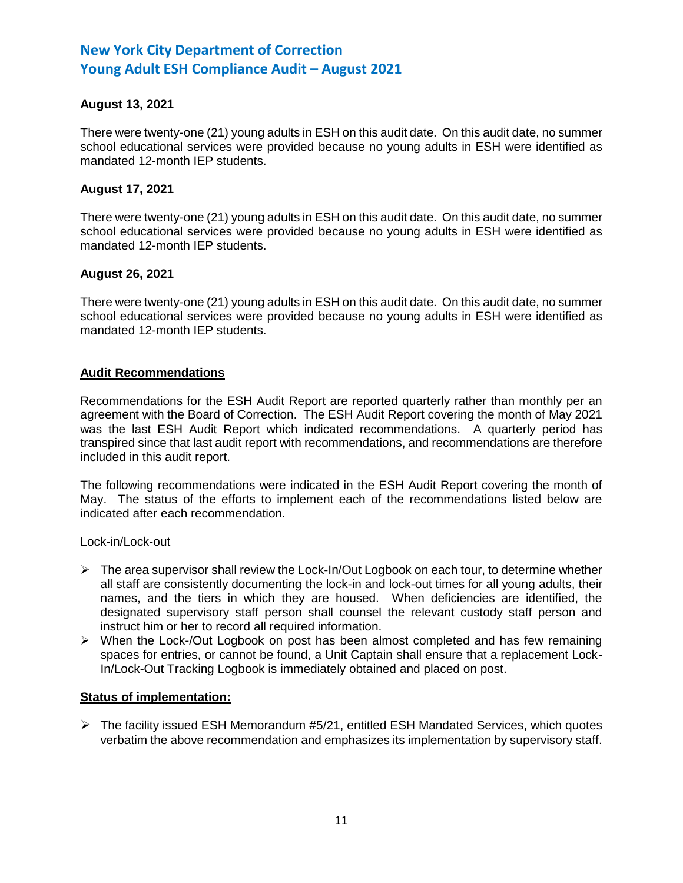# **August 13, 2021**

There were twenty-one (21) young adults in ESH on this audit date. On this audit date, no summer school educational services were provided because no young adults in ESH were identified as mandated 12-month IEP students.

### **August 17, 2021**

There were twenty-one (21) young adults in ESH on this audit date. On this audit date, no summer school educational services were provided because no young adults in ESH were identified as mandated 12-month IEP students.

### **August 26, 2021**

There were twenty-one (21) young adults in ESH on this audit date. On this audit date, no summer school educational services were provided because no young adults in ESH were identified as mandated 12-month IEP students.

### **Audit Recommendations**

Recommendations for the ESH Audit Report are reported quarterly rather than monthly per an agreement with the Board of Correction. The ESH Audit Report covering the month of May 2021 was the last ESH Audit Report which indicated recommendations. A quarterly period has transpired since that last audit report with recommendations, and recommendations are therefore included in this audit report.

The following recommendations were indicated in the ESH Audit Report covering the month of May. The status of the efforts to implement each of the recommendations listed below are indicated after each recommendation.

Lock-in/Lock-out

- $\triangleright$  The area supervisor shall review the Lock-In/Out Logbook on each tour, to determine whether all staff are consistently documenting the lock-in and lock-out times for all young adults, their names, and the tiers in which they are housed. When deficiencies are identified, the designated supervisory staff person shall counsel the relevant custody staff person and instruct him or her to record all required information.
- ➢ When the Lock-/Out Logbook on post has been almost completed and has few remaining spaces for entries, or cannot be found, a Unit Captain shall ensure that a replacement Lock-In/Lock-Out Tracking Logbook is immediately obtained and placed on post.

#### **Status of implementation:**

 $\triangleright$  The facility issued ESH Memorandum #5/21, entitled ESH Mandated Services, which quotes verbatim the above recommendation and emphasizes its implementation by supervisory staff.